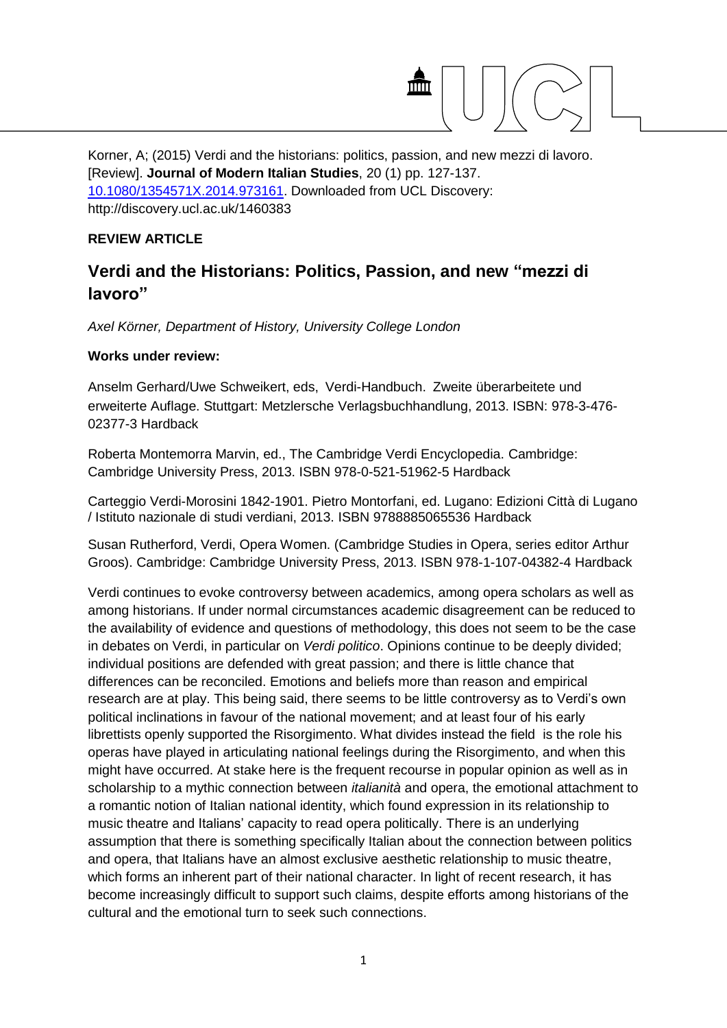

Korner, A; (2015) Verdi and the historians: politics, passion, and new mezzi di lavoro. [Review]. **Journal of Modern Italian Studies**, 20 (1) pp. 127-137. [10.1080/1354571X.2014.973161.](http://dx.doi.org/10.1080/1354571X.2014.973161) Downloaded from UCL Discovery: http://discovery.ucl.ac.uk/1460383

## **REVIEW ARTICLE**

## **Verdi and the Historians: Politics, Passion, and new "mezzi di lavoro"**

*Axel Körner, Department of History, University College London*

## **Works under review:**

Anselm Gerhard/Uwe Schweikert, eds, Verdi-Handbuch. Zweite überarbeitete und erweiterte Auflage. Stuttgart: Metzlersche Verlagsbuchhandlung, 2013. ISBN: 978-3-476- 02377-3 Hardback

Roberta Montemorra Marvin, ed., The Cambridge Verdi Encyclopedia. Cambridge: Cambridge University Press, 2013. ISBN 978-0-521-51962-5 Hardback

Carteggio Verdi-Morosini 1842-1901. Pietro Montorfani, ed. Lugano: Edizioni Città di Lugano / Istituto nazionale di studi verdiani, 2013. ISBN 9788885065536 Hardback

Susan Rutherford, Verdi, Opera Women. (Cambridge Studies in Opera, series editor Arthur Groos). Cambridge: Cambridge University Press, 2013. ISBN 978-1-107-04382-4 Hardback

Verdi continues to evoke controversy between academics, among opera scholars as well as among historians. If under normal circumstances academic disagreement can be reduced to the availability of evidence and questions of methodology, this does not seem to be the case in debates on Verdi, in particular on *Verdi politico*. Opinions continue to be deeply divided; individual positions are defended with great passion; and there is little chance that differences can be reconciled. Emotions and beliefs more than reason and empirical research are at play. This being said, there seems to be little controversy as to Verdi's own political inclinations in favour of the national movement; and at least four of his early librettists openly supported the Risorgimento. What divides instead the field is the role his operas have played in articulating national feelings during the Risorgimento, and when this might have occurred. At stake here is the frequent recourse in popular opinion as well as in scholarship to a mythic connection between *italianità* and opera, the emotional attachment to a romantic notion of Italian national identity, which found expression in its relationship to music theatre and Italians' capacity to read opera politically. There is an underlying assumption that there is something specifically Italian about the connection between politics and opera, that Italians have an almost exclusive aesthetic relationship to music theatre, which forms an inherent part of their national character. In light of recent research, it has become increasingly difficult to support such claims, despite efforts among historians of the cultural and the emotional turn to seek such connections.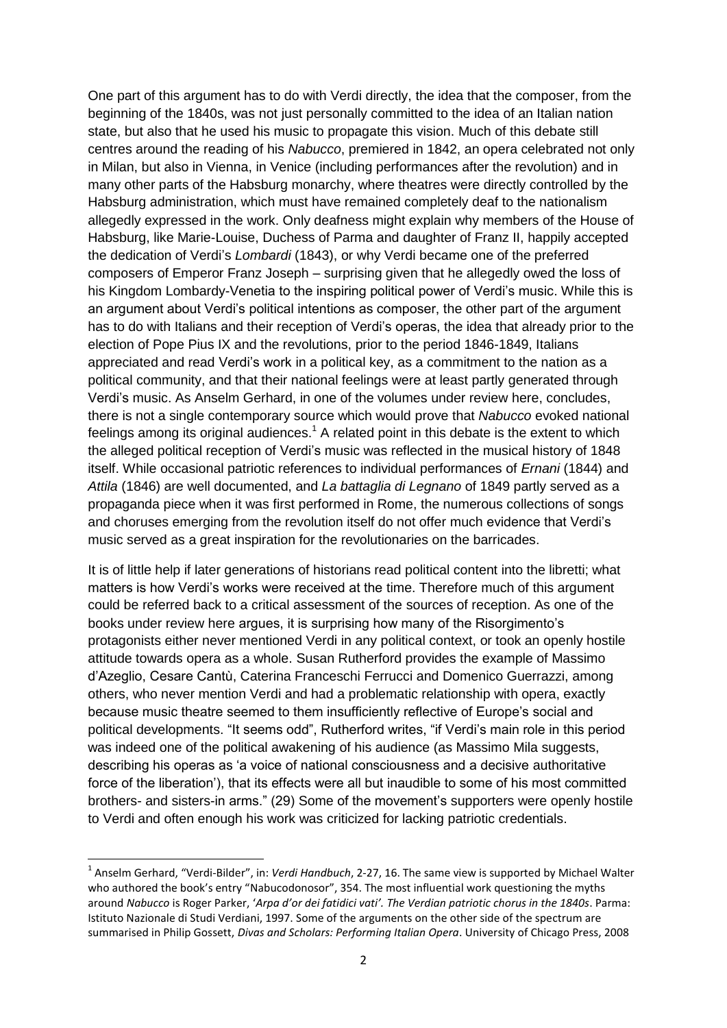One part of this argument has to do with Verdi directly, the idea that the composer, from the beginning of the 1840s, was not just personally committed to the idea of an Italian nation state, but also that he used his music to propagate this vision. Much of this debate still centres around the reading of his *Nabucco*, premiered in 1842, an opera celebrated not only in Milan, but also in Vienna, in Venice (including performances after the revolution) and in many other parts of the Habsburg monarchy, where theatres were directly controlled by the Habsburg administration, which must have remained completely deaf to the nationalism allegedly expressed in the work. Only deafness might explain why members of the House of Habsburg, like Marie-Louise, Duchess of Parma and daughter of Franz II, happily accepted the dedication of Verdi's *Lombardi* (1843), or why Verdi became one of the preferred composers of Emperor Franz Joseph – surprising given that he allegedly owed the loss of his Kingdom Lombardy-Venetia to the inspiring political power of Verdi's music. While this is an argument about Verdi's political intentions as composer, the other part of the argument has to do with Italians and their reception of Verdi's operas, the idea that already prior to the election of Pope Pius IX and the revolutions, prior to the period 1846-1849, Italians appreciated and read Verdi's work in a political key, as a commitment to the nation as a political community, and that their national feelings were at least partly generated through Verdi's music. As Anselm Gerhard, in one of the volumes under review here, concludes, there is not a single contemporary source which would prove that *Nabucco* evoked national feelings among its original audiences.<sup>1</sup> A related point in this debate is the extent to which the alleged political reception of Verdi's music was reflected in the musical history of 1848 itself. While occasional patriotic references to individual performances of *Ernani* (1844) and *Attila* (1846) are well documented, and *La battaglia di Legnano* of 1849 partly served as a propaganda piece when it was first performed in Rome, the numerous collections of songs and choruses emerging from the revolution itself do not offer much evidence that Verdi's music served as a great inspiration for the revolutionaries on the barricades.

It is of little help if later generations of historians read political content into the libretti; what matters is how Verdi's works were received at the time. Therefore much of this argument could be referred back to a critical assessment of the sources of reception. As one of the books under review here argues, it is surprising how many of the Risorgimento's protagonists either never mentioned Verdi in any political context, or took an openly hostile attitude towards opera as a whole. Susan Rutherford provides the example of Massimo d'Azeglio, Cesare Cantù, Caterina Franceschi Ferrucci and Domenico Guerrazzi, among others, who never mention Verdi and had a problematic relationship with opera, exactly because music theatre seemed to them insufficiently reflective of Europe's social and political developments. "It seems odd", Rutherford writes, "if Verdi's main role in this period was indeed one of the political awakening of his audience (as Massimo Mila suggests, describing his operas as 'a voice of national consciousness and a decisive authoritative force of the liberation'), that its effects were all but inaudible to some of his most committed brothers- and sisters-in arms." (29) Some of the movement's supporters were openly hostile to Verdi and often enough his work was criticized for lacking patriotic credentials.

 $\overline{a}$ 

<sup>1</sup> Anselm Gerhard, "Verdi-Bilder", in: *Verdi Handbuch*, 2-27, 16. The same view is supported by Michael Walter who authored the book's entry "Nabucodonosor", 354. The most influential work questioning the myths around *Nabucco* is Roger Parker, '*Arpa d'or dei fatidici vati'. The Verdian patriotic chorus in the 1840s*. Parma: Istituto Nazionale di Studi Verdiani, 1997. Some of the arguments on the other side of the spectrum are summarised in Philip Gossett, *Divas and Scholars: Performing Italian Opera*. University of Chicago Press, 2008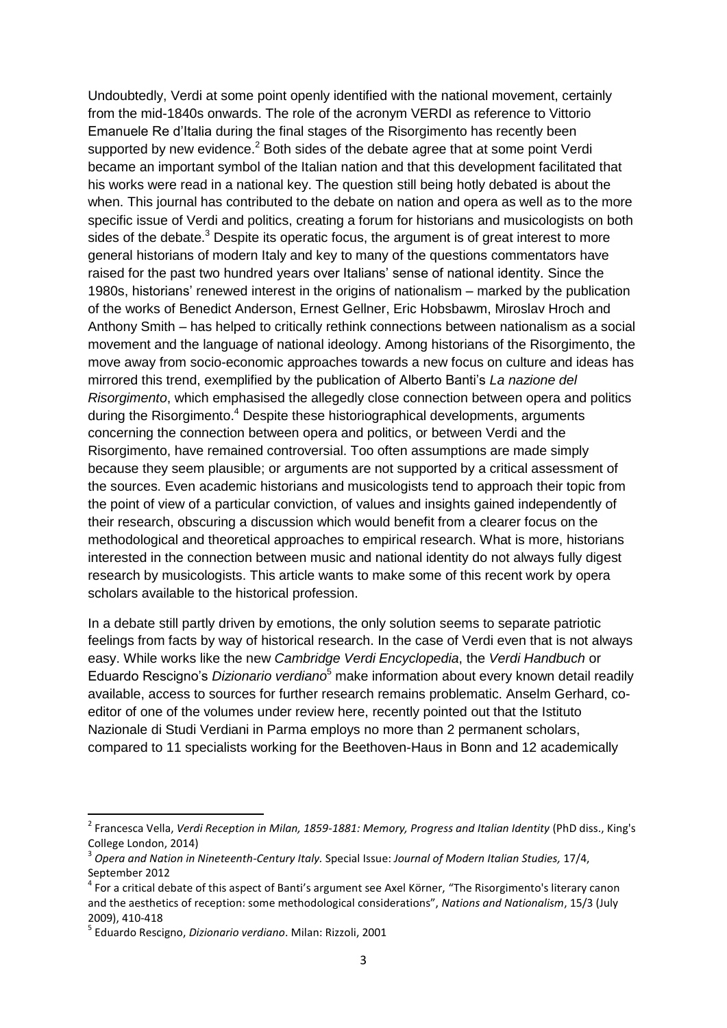Undoubtedly, Verdi at some point openly identified with the national movement, certainly from the mid-1840s onwards. The role of the acronym VERDI as reference to Vittorio Emanuele Re d'Italia during the final stages of the Risorgimento has recently been supported by new evidence. $2$  Both sides of the debate agree that at some point Verdi became an important symbol of the Italian nation and that this development facilitated that his works were read in a national key. The question still being hotly debated is about the when. This journal has contributed to the debate on nation and opera as well as to the more specific issue of Verdi and politics, creating a forum for historians and musicologists on both sides of the debate.<sup>3</sup> Despite its operatic focus, the argument is of great interest to more general historians of modern Italy and key to many of the questions commentators have raised for the past two hundred years over Italians' sense of national identity. Since the 1980s, historians' renewed interest in the origins of nationalism – marked by the publication of the works of Benedict Anderson, Ernest Gellner, Eric Hobsbawm, Miroslav Hroch and Anthony Smith – has helped to critically rethink connections between nationalism as a social movement and the language of national ideology. Among historians of the Risorgimento, the move away from socio-economic approaches towards a new focus on culture and ideas has mirrored this trend, exemplified by the publication of Alberto Banti's *La nazione del Risorgimento*, which emphasised the allegedly close connection between opera and politics during the Risorgimento.<sup>4</sup> Despite these historiographical developments, arguments concerning the connection between opera and politics, or between Verdi and the Risorgimento, have remained controversial. Too often assumptions are made simply because they seem plausible; or arguments are not supported by a critical assessment of the sources. Even academic historians and musicologists tend to approach their topic from the point of view of a particular conviction, of values and insights gained independently of their research, obscuring a discussion which would benefit from a clearer focus on the methodological and theoretical approaches to empirical research. What is more, historians interested in the connection between music and national identity do not always fully digest research by musicologists. This article wants to make some of this recent work by opera scholars available to the historical profession.

In a debate still partly driven by emotions, the only solution seems to separate patriotic feelings from facts by way of historical research. In the case of Verdi even that is not always easy. While works like the new *Cambridge Verdi Encyclopedia*, the *Verdi Handbuch* or Eduardo Rescigno's *Dizionario verdiano*<sup>5</sup> make information about every known detail readily available, access to sources for further research remains problematic. Anselm Gerhard, coeditor of one of the volumes under review here, recently pointed out that the Istituto Nazionale di Studi Verdiani in Parma employs no more than 2 permanent scholars, compared to 11 specialists working for the Beethoven-Haus in Bonn and 12 academically

<sup>2</sup> Francesca Vella, *Verdi Reception in Milan, 1859-1881: Memory, Progress and Italian Identity* (PhD diss., King's College London, 2014)

<sup>3</sup> *Opera and Nation in Nineteenth-Century Italy.* Special Issue: *Journal of Modern Italian Studies,* 17/4, September 2012

 $^4$  For a critical debate of this aspect of Banti's argument see Axel Körner, "The Risorgimento's literary canon and the aesthetics of reception: some methodological considerations", *Nations and Nationalism*, 15/3 (July 2009), 410-418

<sup>5</sup> Eduardo Rescigno, *Dizionario verdiano*. Milan: Rizzoli, 2001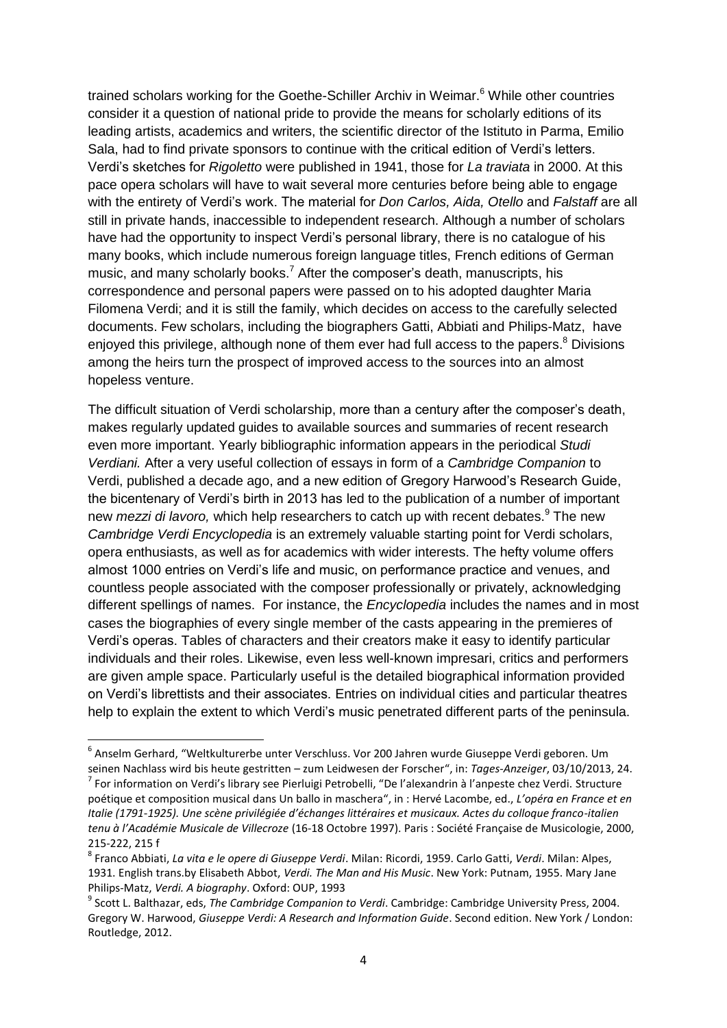trained scholars working for the Goethe-Schiller Archiv in Weimar.<sup>6</sup> While other countries consider it a question of national pride to provide the means for scholarly editions of its leading artists, academics and writers, the scientific director of the Istituto in Parma, Emilio Sala, had to find private sponsors to continue with the critical edition of Verdi's letters. Verdi's sketches for *Rigoletto* were published in 1941, those for *La traviata* in 2000. At this pace opera scholars will have to wait several more centuries before being able to engage with the entirety of Verdi's work. The material for *Don Carlos, Aida, Otello* and *Falstaff* are all still in private hands, inaccessible to independent research. Although a number of scholars have had the opportunity to inspect Verdi's personal library, there is no catalogue of his many books, which include numerous foreign language titles, French editions of German music, and many scholarly books.<sup>7</sup> After the composer's death, manuscripts, his correspondence and personal papers were passed on to his adopted daughter Maria Filomena Verdi; and it is still the family, which decides on access to the carefully selected documents. Few scholars, including the biographers Gatti, Abbiati and Philips-Matz, have enjoyed this privilege, although none of them ever had full access to the papers.<sup>8</sup> Divisions among the heirs turn the prospect of improved access to the sources into an almost hopeless venture.

The difficult situation of Verdi scholarship, more than a century after the composer's death, makes regularly updated guides to available sources and summaries of recent research even more important. Yearly bibliographic information appears in the periodical *Studi Verdiani.* After a very useful collection of essays in form of a *Cambridge Companion* to Verdi, published a decade ago, and a new edition of Gregory Harwood's Research Guide, the bicentenary of Verdi's birth in 2013 has led to the publication of a number of important new *mezzi di lavoro,* which help researchers to catch up with recent debates.<sup>9</sup> The new *Cambridge Verdi Encyclopedia* is an extremely valuable starting point for Verdi scholars, opera enthusiasts, as well as for academics with wider interests. The hefty volume offers almost 1000 entries on Verdi's life and music, on performance practice and venues, and countless people associated with the composer professionally or privately, acknowledging different spellings of names. For instance, the *Encyclopedia* includes the names and in most cases the biographies of every single member of the casts appearing in the premieres of Verdi's operas. Tables of characters and their creators make it easy to identify particular individuals and their roles. Likewise, even less well-known impresari, critics and performers are given ample space. Particularly useful is the detailed biographical information provided on Verdi's librettists and their associates. Entries on individual cities and particular theatres help to explain the extent to which Verdi's music penetrated different parts of the peninsula.

1

<sup>6</sup> Anselm Gerhard, "Weltkulturerbe unter Verschluss. Vor 200 Jahren wurde Giuseppe Verdi geboren. Um seinen Nachlass wird bis heute gestritten – zum Leidwesen der Forscher", in: *Tages-Anzeiger*, 03/10/2013, 24.

<sup>&</sup>lt;sup>7</sup> For information on Verdi's library see Pierluigi Petrobelli, "De l'alexandrin à l'anpeste chez Verdi. Structure poétique et composition musical dans Un ballo in maschera", in : Hervé Lacombe, ed., *L'opéra en France et en Italie (1791-1925). Une scène privilégiée d'échanges littéraires et musicaux. Actes du colloque franco-italien tenu à l'Académie Musicale de Villecroze* (16-18 Octobre 1997). Paris : Société Française de Musicologie, 2000, 215-222, 215 f

<sup>8</sup> Franco Abbiati, *La vita e le opere di Giuseppe Verdi*. Milan: Ricordi, 1959. Carlo Gatti, *Verdi*. Milan: Alpes, 1931. English trans.by Elisabeth Abbot, *Verdi. The Man and His Music*. New York: Putnam, 1955. Mary Jane Philips-Matz, *Verdi. A biography*. Oxford: OUP, 1993

<sup>9</sup> Scott L. Balthazar, eds, *The Cambridge Companion to Verdi*. Cambridge: Cambridge University Press, 2004. Gregory W. Harwood, *Giuseppe Verdi: A Research and Information Guide*. Second edition. New York / London: Routledge, 2012.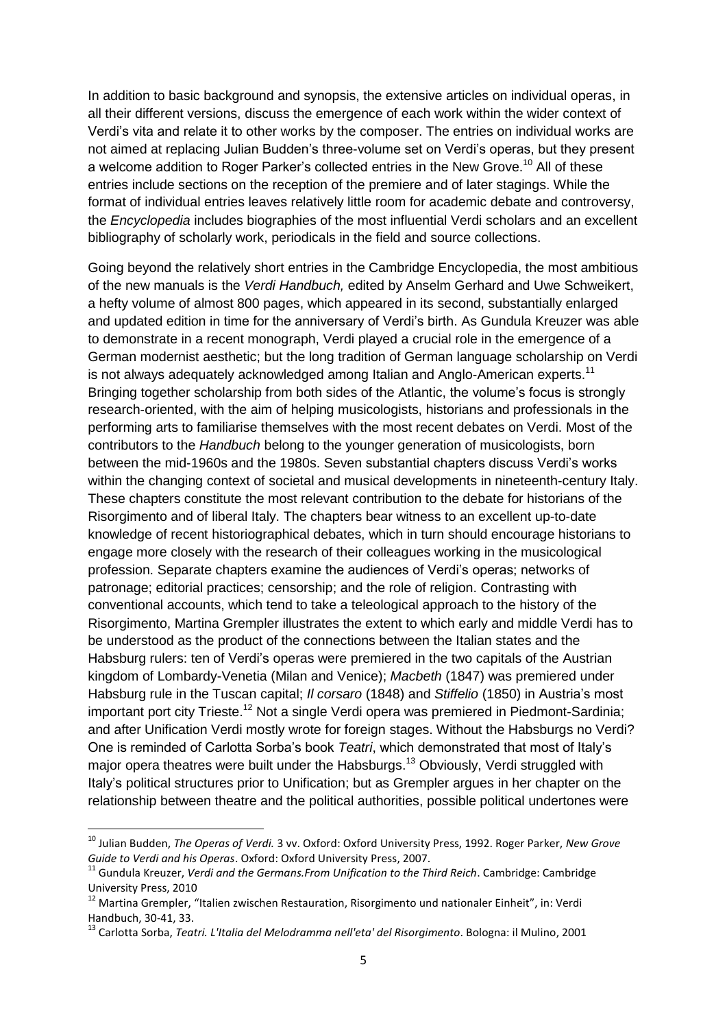In addition to basic background and synopsis, the extensive articles on individual operas, in all their different versions, discuss the emergence of each work within the wider context of Verdi's vita and relate it to other works by the composer. The entries on individual works are not aimed at replacing Julian Budden's three-volume set on Verdi's operas, but they present a welcome addition to Roger Parker's collected entries in the New Grove.<sup>10</sup> All of these entries include sections on the reception of the premiere and of later stagings. While the format of individual entries leaves relatively little room for academic debate and controversy, the *Encyclopedia* includes biographies of the most influential Verdi scholars and an excellent bibliography of scholarly work, periodicals in the field and source collections.

Going beyond the relatively short entries in the Cambridge Encyclopedia, the most ambitious of the new manuals is the *Verdi Handbuch,* edited by Anselm Gerhard and Uwe Schweikert, a hefty volume of almost 800 pages, which appeared in its second, substantially enlarged and updated edition in time for the anniversary of Verdi's birth. As Gundula Kreuzer was able to demonstrate in a recent monograph, Verdi played a crucial role in the emergence of a German modernist aesthetic; but the long tradition of German language scholarship on Verdi is not always adequately acknowledged among Italian and Anglo-American experts.<sup>11</sup> Bringing together scholarship from both sides of the Atlantic, the volume's focus is strongly research-oriented, with the aim of helping musicologists, historians and professionals in the performing arts to familiarise themselves with the most recent debates on Verdi. Most of the contributors to the *Handbuch* belong to the younger generation of musicologists, born between the mid-1960s and the 1980s. Seven substantial chapters discuss Verdi's works within the changing context of societal and musical developments in nineteenth-century Italy. These chapters constitute the most relevant contribution to the debate for historians of the Risorgimento and of liberal Italy. The chapters bear witness to an excellent up-to-date knowledge of recent historiographical debates, which in turn should encourage historians to engage more closely with the research of their colleagues working in the musicological profession. Separate chapters examine the audiences of Verdi's operas; networks of patronage; editorial practices; censorship; and the role of religion. Contrasting with conventional accounts, which tend to take a teleological approach to the history of the Risorgimento, Martina Grempler illustrates the extent to which early and middle Verdi has to be understood as the product of the connections between the Italian states and the Habsburg rulers: ten of Verdi's operas were premiered in the two capitals of the Austrian kingdom of Lombardy-Venetia (Milan and Venice); *Macbeth* (1847) was premiered under Habsburg rule in the Tuscan capital; *Il corsaro* (1848) and *Stiffelio* (1850) in Austria's most important port city Trieste.<sup>12</sup> Not a single Verdi opera was premiered in Piedmont-Sardinia; and after Unification Verdi mostly wrote for foreign stages. Without the Habsburgs no Verdi? One is reminded of Carlotta Sorba's book *Teatri*, which demonstrated that most of Italy's major opera theatres were built under the Habsburgs.<sup>13</sup> Obviously, Verdi struggled with Italy's political structures prior to Unification; but as Grempler argues in her chapter on the relationship between theatre and the political authorities, possible political undertones were

 $\overline{a}$ 

<sup>10</sup> Julian Budden, *The Operas of Verdi.* 3 vv. Oxford: Oxford University Press, 1992. Roger Parker, *New Grove Guide to Verdi and his Operas*. Oxford: Oxford University Press, 2007.

<sup>11</sup> Gundula Kreuzer, *Verdi and the Germans.From Unification to the Third Reich*. Cambridge: Cambridge University Press, 2010

<sup>&</sup>lt;sup>12</sup> Martina Grempler, "Italien zwischen Restauration, Risorgimento und nationaler Einheit", in: Verdi Handbuch, 30-41, 33.

<sup>13</sup> Carlotta Sorba, *Teatri. L'Italia del Melodramma nell'eta' del Risorgimento*. Bologna: il Mulino, 2001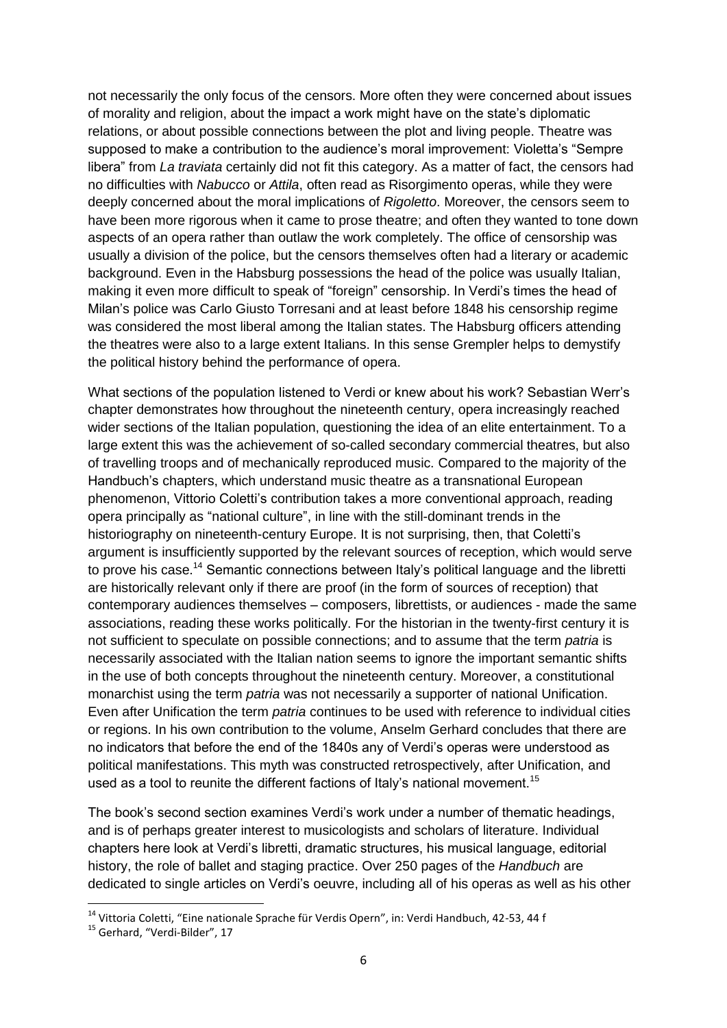not necessarily the only focus of the censors. More often they were concerned about issues of morality and religion, about the impact a work might have on the state's diplomatic relations, or about possible connections between the plot and living people. Theatre was supposed to make a contribution to the audience's moral improvement: Violetta's "Sempre libera" from *La traviata* certainly did not fit this category. As a matter of fact, the censors had no difficulties with *Nabucco* or *Attila*, often read as Risorgimento operas, while they were deeply concerned about the moral implications of *Rigoletto*. Moreover, the censors seem to have been more rigorous when it came to prose theatre; and often they wanted to tone down aspects of an opera rather than outlaw the work completely. The office of censorship was usually a division of the police, but the censors themselves often had a literary or academic background. Even in the Habsburg possessions the head of the police was usually Italian, making it even more difficult to speak of "foreign" censorship. In Verdi's times the head of Milan's police was Carlo Giusto Torresani and at least before 1848 his censorship regime was considered the most liberal among the Italian states. The Habsburg officers attending the theatres were also to a large extent Italians. In this sense Grempler helps to demystify the political history behind the performance of opera.

What sections of the population listened to Verdi or knew about his work? Sebastian Werr's chapter demonstrates how throughout the nineteenth century, opera increasingly reached wider sections of the Italian population, questioning the idea of an elite entertainment. To a large extent this was the achievement of so-called secondary commercial theatres, but also of travelling troops and of mechanically reproduced music. Compared to the majority of the Handbuch's chapters, which understand music theatre as a transnational European phenomenon, Vittorio Coletti's contribution takes a more conventional approach, reading opera principally as "national culture", in line with the still-dominant trends in the historiography on nineteenth-century Europe. It is not surprising, then, that Coletti's argument is insufficiently supported by the relevant sources of reception, which would serve to prove his case.<sup>14</sup> Semantic connections between Italy's political language and the libretti are historically relevant only if there are proof (in the form of sources of reception) that contemporary audiences themselves – composers, librettists, or audiences - made the same associations, reading these works politically. For the historian in the twenty-first century it is not sufficient to speculate on possible connections; and to assume that the term *patria* is necessarily associated with the Italian nation seems to ignore the important semantic shifts in the use of both concepts throughout the nineteenth century. Moreover, a constitutional monarchist using the term *patria* was not necessarily a supporter of national Unification. Even after Unification the term *patria* continues to be used with reference to individual cities or regions. In his own contribution to the volume, Anselm Gerhard concludes that there are no indicators that before the end of the 1840s any of Verdi's operas were understood as political manifestations. This myth was constructed retrospectively, after Unification, and used as a tool to reunite the different factions of Italy's national movement.<sup>15</sup>

The book's second section examines Verdi's work under a number of thematic headings, and is of perhaps greater interest to musicologists and scholars of literature. Individual chapters here look at Verdi's libretti, dramatic structures, his musical language, editorial history, the role of ballet and staging practice. Over 250 pages of the *Handbuch* are dedicated to single articles on Verdi's oeuvre, including all of his operas as well as his other

<sup>&</sup>lt;sup>14</sup> Vittoria Coletti, "Eine nationale Sprache für Verdis Opern", in: Verdi Handbuch, 42-53, 44 f

<sup>&</sup>lt;sup>15</sup> Gerhard, "Verdi-Bilder", 17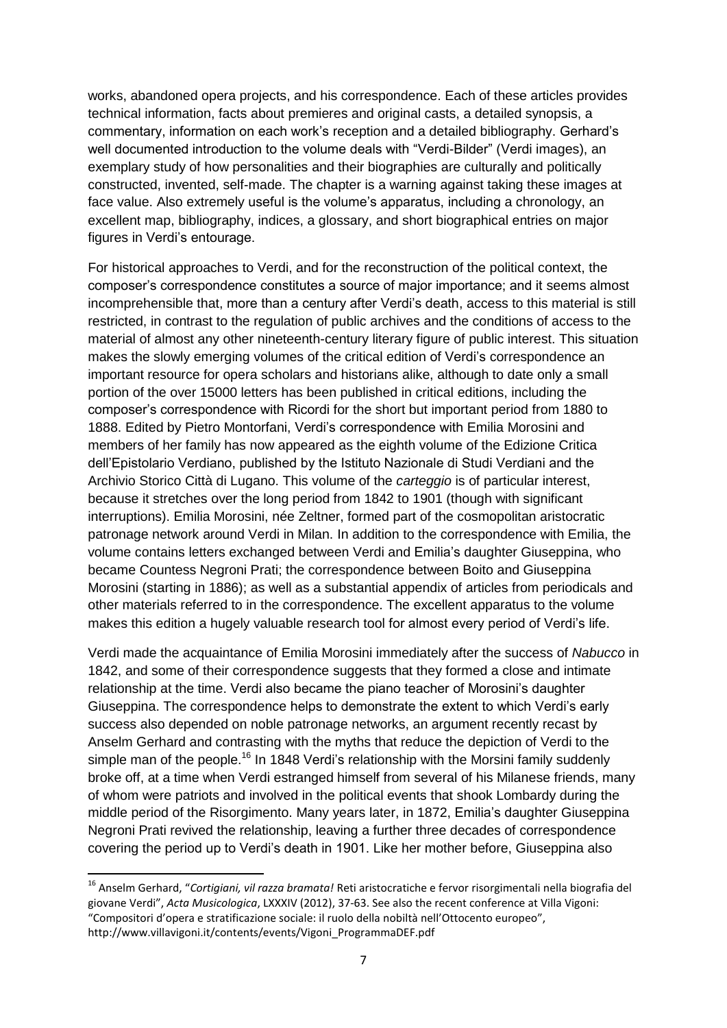works, abandoned opera projects, and his correspondence. Each of these articles provides technical information, facts about premieres and original casts, a detailed synopsis, a commentary, information on each work's reception and a detailed bibliography. Gerhard's well documented introduction to the volume deals with "Verdi-Bilder" (Verdi images), an exemplary study of how personalities and their biographies are culturally and politically constructed, invented, self-made. The chapter is a warning against taking these images at face value. Also extremely useful is the volume's apparatus, including a chronology, an excellent map, bibliography, indices, a glossary, and short biographical entries on major figures in Verdi's entourage.

For historical approaches to Verdi, and for the reconstruction of the political context, the composer's correspondence constitutes a source of major importance; and it seems almost incomprehensible that, more than a century after Verdi's death, access to this material is still restricted, in contrast to the regulation of public archives and the conditions of access to the material of almost any other nineteenth-century literary figure of public interest. This situation makes the slowly emerging volumes of the critical edition of Verdi's correspondence an important resource for opera scholars and historians alike, although to date only a small portion of the over 15000 letters has been published in critical editions, including the composer's correspondence with Ricordi for the short but important period from 1880 to 1888. Edited by Pietro Montorfani, Verdi's correspondence with Emilia Morosini and members of her family has now appeared as the eighth volume of the Edizione Critica dell'Epistolario Verdiano, published by the Istituto Nazionale di Studi Verdiani and the Archivio Storico Città di Lugano. This volume of the *carteggio* is of particular interest, because it stretches over the long period from 1842 to 1901 (though with significant interruptions). Emilia Morosini, née Zeltner, formed part of the cosmopolitan aristocratic patronage network around Verdi in Milan. In addition to the correspondence with Emilia, the volume contains letters exchanged between Verdi and Emilia's daughter Giuseppina, who became Countess Negroni Prati; the correspondence between Boito and Giuseppina Morosini (starting in 1886); as well as a substantial appendix of articles from periodicals and other materials referred to in the correspondence. The excellent apparatus to the volume makes this edition a hugely valuable research tool for almost every period of Verdi's life.

Verdi made the acquaintance of Emilia Morosini immediately after the success of *Nabucco* in 1842, and some of their correspondence suggests that they formed a close and intimate relationship at the time. Verdi also became the piano teacher of Morosini's daughter Giuseppina. The correspondence helps to demonstrate the extent to which Verdi's early success also depended on noble patronage networks, an argument recently recast by Anselm Gerhard and contrasting with the myths that reduce the depiction of Verdi to the simple man of the people.<sup>16</sup> In 1848 Verdi's relationship with the Morsini family suddenly broke off, at a time when Verdi estranged himself from several of his Milanese friends, many of whom were patriots and involved in the political events that shook Lombardy during the middle period of the Risorgimento. Many years later, in 1872, Emilia's daughter Giuseppina Negroni Prati revived the relationship, leaving a further three decades of correspondence covering the period up to Verdi's death in 1901. Like her mother before, Giuseppina also

<sup>16</sup> Anselm Gerhard, "*Cortigiani, vil razza bramata!* Reti aristocratiche e fervor risorgimentali nella biografia del giovane Verdi", *Acta Musicologica*, LXXXIV (2012), 37-63. See also the recent conference at Villa Vigoni: "Compositori d'opera e stratificazione sociale: il ruolo della nobiltà nell'Ottocento europeo", http://www.villavigoni.it/contents/events/Vigoni\_ProgrammaDEF.pdf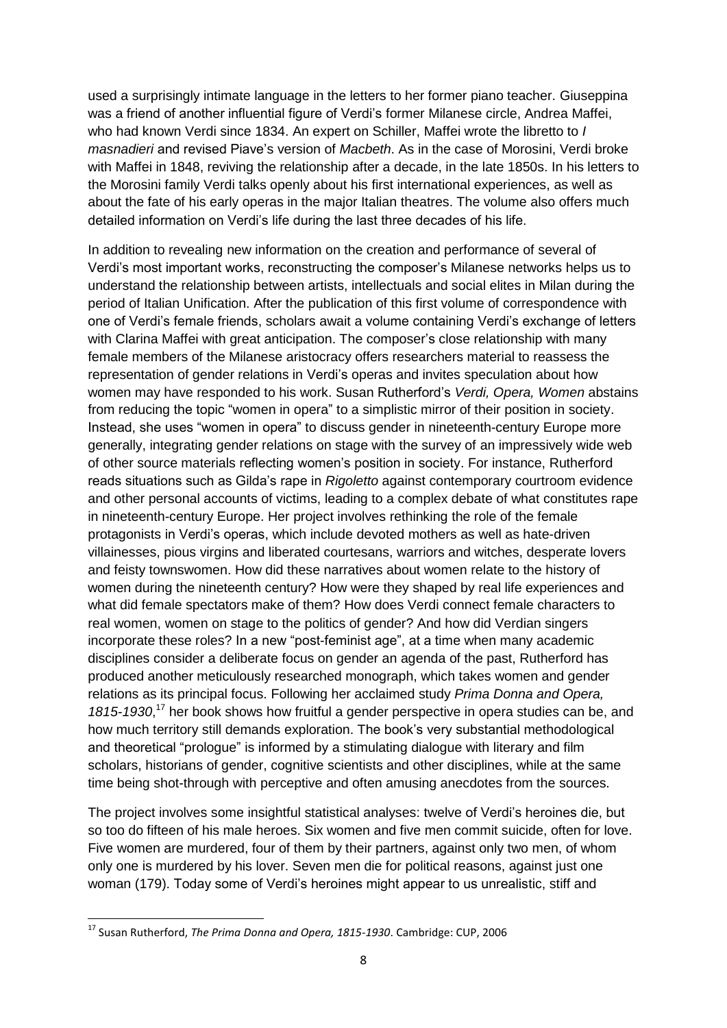used a surprisingly intimate language in the letters to her former piano teacher. Giuseppina was a friend of another influential figure of Verdi's former Milanese circle, Andrea Maffei, who had known Verdi since 1834. An expert on Schiller, Maffei wrote the libretto to *I masnadieri* and revised Piave's version of *Macbeth*. As in the case of Morosini, Verdi broke with Maffei in 1848, reviving the relationship after a decade, in the late 1850s. In his letters to the Morosini family Verdi talks openly about his first international experiences, as well as about the fate of his early operas in the major Italian theatres. The volume also offers much detailed information on Verdi's life during the last three decades of his life.

In addition to revealing new information on the creation and performance of several of Verdi's most important works, reconstructing the composer's Milanese networks helps us to understand the relationship between artists, intellectuals and social elites in Milan during the period of Italian Unification. After the publication of this first volume of correspondence with one of Verdi's female friends, scholars await a volume containing Verdi's exchange of letters with Clarina Maffei with great anticipation. The composer's close relationship with many female members of the Milanese aristocracy offers researchers material to reassess the representation of gender relations in Verdi's operas and invites speculation about how women may have responded to his work. Susan Rutherford's *Verdi, Opera, Women* abstains from reducing the topic "women in opera" to a simplistic mirror of their position in society. Instead, she uses "women in opera" to discuss gender in nineteenth-century Europe more generally, integrating gender relations on stage with the survey of an impressively wide web of other source materials reflecting women's position in society. For instance, Rutherford reads situations such as Gilda's rape in *Rigoletto* against contemporary courtroom evidence and other personal accounts of victims, leading to a complex debate of what constitutes rape in nineteenth-century Europe. Her project involves rethinking the role of the female protagonists in Verdi's operas, which include devoted mothers as well as hate-driven villainesses, pious virgins and liberated courtesans, warriors and witches, desperate lovers and feisty townswomen. How did these narratives about women relate to the history of women during the nineteenth century? How were they shaped by real life experiences and what did female spectators make of them? How does Verdi connect female characters to real women, women on stage to the politics of gender? And how did Verdian singers incorporate these roles? In a new "post-feminist age", at a time when many academic disciplines consider a deliberate focus on gender an agenda of the past, Rutherford has produced another meticulously researched monograph, which takes women and gender relations as its principal focus. Following her acclaimed study *Prima Donna and Opera,*  1815-1930,<sup>17</sup> her book shows how fruitful a gender perspective in opera studies can be, and how much territory still demands exploration. The book's very substantial methodological and theoretical "prologue" is informed by a stimulating dialogue with literary and film scholars, historians of gender, cognitive scientists and other disciplines, while at the same time being shot-through with perceptive and often amusing anecdotes from the sources.

The project involves some insightful statistical analyses: twelve of Verdi's heroines die, but so too do fifteen of his male heroes. Six women and five men commit suicide, often for love. Five women are murdered, four of them by their partners, against only two men, of whom only one is murdered by his lover. Seven men die for political reasons, against just one woman (179). Today some of Verdi's heroines might appear to us unrealistic, stiff and

<sup>17</sup> Susan Rutherford, *The Prima Donna and Opera, 1815-1930*. Cambridge: CUP, 2006